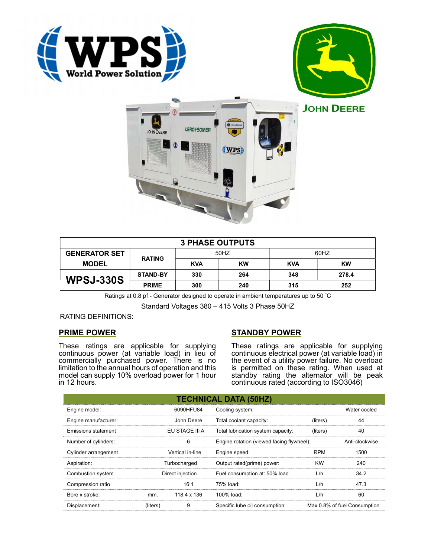





| <b>3 PHASE OUTPUTS</b> |                 |            |           |            |           |
|------------------------|-----------------|------------|-----------|------------|-----------|
| <b>GENERATOR SET</b>   | <b>RATING</b>   | 50HZ       |           | 60HZ       |           |
| <b>MODEL</b>           |                 | <b>KVA</b> | <b>KW</b> | <b>KVA</b> | <b>KW</b> |
| <b>WPSJ-330S</b>       | <b>STAND-BY</b> | 330        | 264       | 348        | 278.4     |
|                        | <b>PRIME</b>    | 300        | 240       | 315        | 252       |

Ratings at 0.8 pf - Generator designed to operate in ambient temperatures up to 50 °C

Standard Voltages 380 – 415 Volts 3 Phase 50HZ

# RATING DEFINITIONS:

# PRIME POWER

These ratings are applicable for supplying continuous power (at variable load) in lieu of commercially purchased power. There is no limitation to the annual hours of operation and this model can supply 10% overload power for 1 hour in 12 hours.

# STANDBY POWER

These ratings are applicable for supplying continuous electrical power (at variable load) in the event of a utility power failure. No overload is permitted on these rating. When used at standby rating the alternator will be peak continuous rated (according to ISO3046)

|                            |                  |             | <b>TECHNICAL DATA (50HZ)</b>              |                              |                |
|----------------------------|------------------|-------------|-------------------------------------------|------------------------------|----------------|
| Engine model:              | 6090HFU84        |             | Cooling system:                           |                              | Water cooled   |
| Engine manufacturer:       | John Deere       |             | Total coolant capacity:                   | (liters)                     | 44             |
| <b>Emissions statement</b> | EU STAGE III A   |             | Total lubrication system capacity:        | (liters)                     | 40             |
| Number of cylinders:       | 6                |             | Engine rotation (viewed facing flywheel): |                              | Anti-clockwise |
| Cylinder arrangement       | Vertical in-line |             | Engine speed:                             | <b>RPM</b>                   | 1500           |
| Aspiration:                | Turbocharged     |             | Output rated(prime) power:                | <b>KW</b>                    | 240            |
| Combustion system          | Direct injection |             | Fuel consumption at: 50% load             | L/h                          | 34.2           |
| Compression ratio          |                  | 16:1        | 75% load:                                 | L/h                          | 47.3           |
| Bore x stroke:             | mm.              | 118.4 x 136 | 100% load:                                | L/h                          | 60             |
| Displacement:              | (liters)         | 9           | Specific lube oil consumption:            | Max 0.8% of fuel Consumption |                |